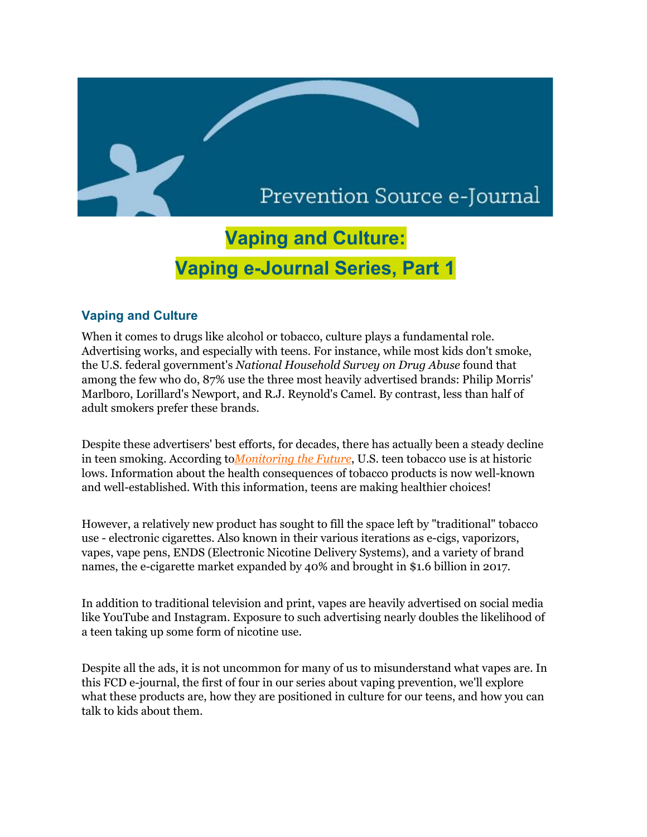# Prevention Source e-Journal

# **Vaping and Culture: Vaping e-Journal Series, Part 1**

## **Vaping and Culture**

When it comes to drugs like alcohol or tobacco, culture plays a fundamental role. Advertising works, and especially with teens. For instance, while most kids don't smoke, the U.S. federal government's *National Household Survey on Drug Abuse* found that among the few who do, 87% use the three most heavily advertised brands: Philip Morris' Marlboro, Lorillard's Newport, and R.J. Reynold's Camel. By contrast, less than half of adult smokers prefer these brands.

Despite these advertisers' best efforts, for decades, there has actually been a steady decline in teen smoking. According to*[Monitoring](http://r20.rs6.net/tn.jsp?f=001RLG8g-uPrZNOSGoEEZqYNvKvGYIvEcBBw-MOpWBK0jvQlkWmsCd2fCs6ITb-mQ7NA7kRL3fad6rmQ3cvI22N_2i21zWLmqnExy7Jz2Y7pVDgyu0tymtpzwoOTXS0TWuXtC3UeQm8KvW0Fmg-_Vid0z5lenX9huk0hw5FRsBwhJZ3tCFSIbJkauBh94GHJDOQ&c=G6q2VheFoY3A75SxGiVl2XPNDVlrilvrKO6C4IQ-KLRdEMlq1cessA==&ch=IP4HuD6rMuGqz9d3lJaK_rFEc_KI_HTsBgHzRI4yx2R2mQ5aZ120Zw==) the Future*, U.S. teen tobacco use is at historic lows. Information about the health consequences of tobacco products is now well-known and well-established. With this information, teens are making healthier choices!

However, a relatively new product has sought to fill the space left by "traditional" tobacco use - electronic cigarettes. Also known in their various iterations as e-cigs, vaporizors, vapes, vape pens, ENDS (Electronic Nicotine Delivery Systems), and a variety of brand names, the e-cigarette market expanded by 40% and brought in \$1.6 billion in 2017.

In addition to traditional television and print, vapes are heavily advertised on social media like YouTube and Instagram. Exposure to such advertising nearly doubles the likelihood of a teen taking up some form of nicotine use.

Despite all the ads, it is not uncommon for many of us to misunderstand what vapes are. In this FCD e-journal, the first of four in our series about vaping prevention, we'll explore what these products are, how they are positioned in culture for our teens, and how you can talk to kids about them.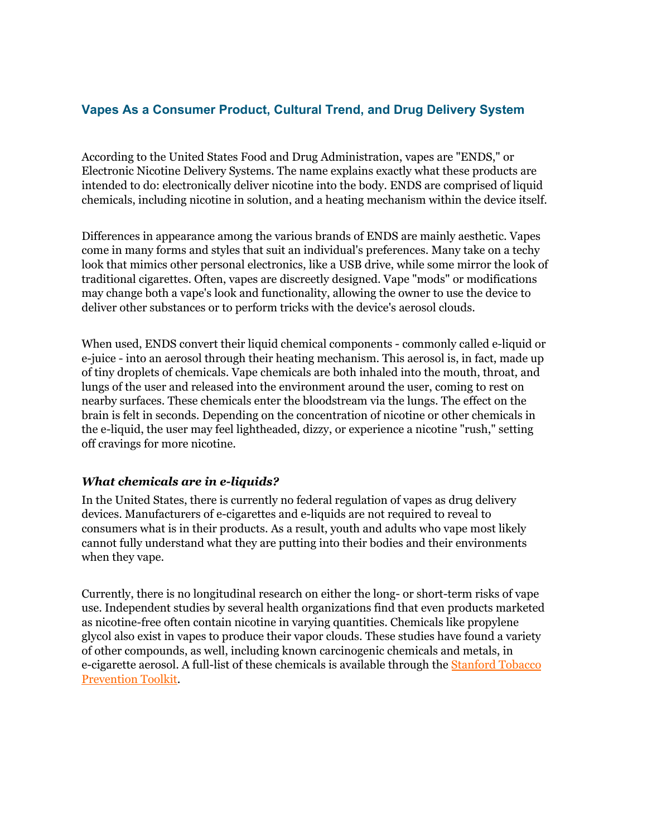## **Vapes As a Consumer Product, Cultural Trend, and Drug Delivery System**

According to the United States Food and Drug Administration, vapes are "ENDS," or Electronic Nicotine Delivery Systems. The name explains exactly what these products are intended to do: electronically deliver nicotine into the body. ENDS are comprised of liquid chemicals, including nicotine in solution, and a heating mechanism within the device itself.

Differences in appearance among the various brands of ENDS are mainly aesthetic. Vapes come in many forms and styles that suit an individual's preferences. Many take on a techy look that mimics other personal electronics, like a USB drive, while some mirror the look of traditional cigarettes. Often, vapes are discreetly designed. Vape "mods" or modifications may change both a vape's look and functionality, allowing the owner to use the device to deliver other substances or to perform tricks with the device's aerosol clouds.

When used, ENDS convert their liquid chemical components - commonly called e-liquid or e-juice - into an aerosol through their heating mechanism. This aerosol is, in fact, made up of tiny droplets of chemicals. Vape chemicals are both inhaled into the mouth, throat, and lungs of the user and released into the environment around the user, coming to rest on nearby surfaces. These chemicals enter the bloodstream via the lungs. The effect on the brain is felt in seconds. Depending on the concentration of nicotine or other chemicals in the e-liquid, the user may feel lightheaded, dizzy, or experience a nicotine "rush," setting off cravings for more nicotine.

### *What chemicals are in e-liquids?*

In the United States, there is currently no federal regulation of vapes as drug delivery devices. Manufacturers of e-cigarettes and e-liquids are not required to reveal to consumers what is in their products. As a result, youth and adults who vape most likely cannot fully understand what they are putting into their bodies and their environments when they vape.

Currently, there is no longitudinal research on either the long- or short-term risks of vape use. Independent studies by several health organizations find that even products marketed as nicotine-free often contain nicotine in varying quantities. Chemicals like propylene glycol also exist in vapes to produce their vapor clouds. These studies have found a variety of other compounds, as well, including known carcinogenic chemicals and metals, in e-cigarette aerosol. A full-list of these chemicals is available through the [Stanford](http://r20.rs6.net/tn.jsp?f=001RLG8g-uPrZNOSGoEEZqYNvKvGYIvEcBBw-MOpWBK0jvQlkWmsCd2fAZg4tOuS7SxMS6oDh-wX87P8qJFqwcqQpyoO9B1ZnbZp3nA1fMgDtPvhd86d6Wf8vd2XHR8QGGnOnpDwMsjvXKyz8gw0Xfwi6lrplhqXyBgbqAHa-Iani-rYkYeVbO-MX7tMsznh57WKJWnU-qgaE7RFg7g65xF1w==&c=G6q2VheFoY3A75SxGiVl2XPNDVlrilvrKO6C4IQ-KLRdEMlq1cessA==&ch=IP4HuD6rMuGqz9d3lJaK_rFEc_KI_HTsBgHzRI4yx2R2mQ5aZ120Zw==) Tobacco [Prevention](http://r20.rs6.net/tn.jsp?f=001RLG8g-uPrZNOSGoEEZqYNvKvGYIvEcBBw-MOpWBK0jvQlkWmsCd2fAZg4tOuS7SxMS6oDh-wX87P8qJFqwcqQpyoO9B1ZnbZp3nA1fMgDtPvhd86d6Wf8vd2XHR8QGGnOnpDwMsjvXKyz8gw0Xfwi6lrplhqXyBgbqAHa-Iani-rYkYeVbO-MX7tMsznh57WKJWnU-qgaE7RFg7g65xF1w==&c=G6q2VheFoY3A75SxGiVl2XPNDVlrilvrKO6C4IQ-KLRdEMlq1cessA==&ch=IP4HuD6rMuGqz9d3lJaK_rFEc_KI_HTsBgHzRI4yx2R2mQ5aZ120Zw==) Toolkit.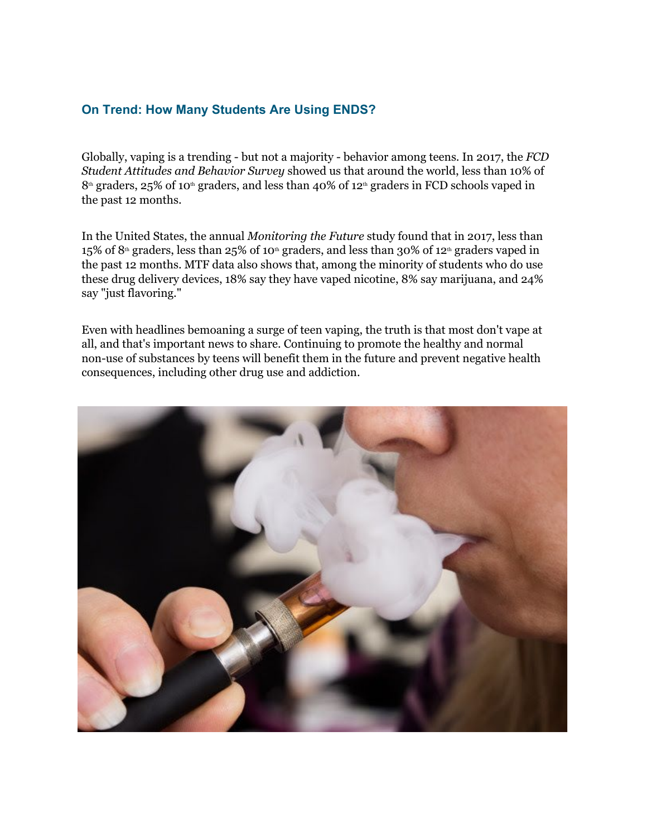## **On Trend: How Many Students Are Using ENDS?**

Globally, vaping is a trending - but not a majority - behavior among teens. In 2017, the *FCD Student Attitudes and Behavior Survey* showed us that around the world, less than 10% of  $8<sup>th</sup>$  graders, 25% of 10<sup>th</sup> graders, and less than 40% of 12<sup>th</sup> graders in FCD schools vaped in the past 12 months.

In the United States, the annual *Monitoring the Future* study found that in 2017, less than 15% of 8<sup>th</sup> graders, less than 25% of 10<sup>th</sup> graders, and less than 30% of 12<sup>th</sup> graders vaped in the past 12 months. MTF data also shows that, among the minority of students who do use these drug delivery devices, 18% say they have vaped nicotine, 8% say marijuana, and 24% say "just flavoring."

Even with headlines bemoaning a surge of teen vaping, the truth is that most don't vape at all, and that's important news to share. Continuing to promote the healthy and normal non-use of substances by teens will benefit them in the future and prevent negative health consequences, including other drug use and addiction.

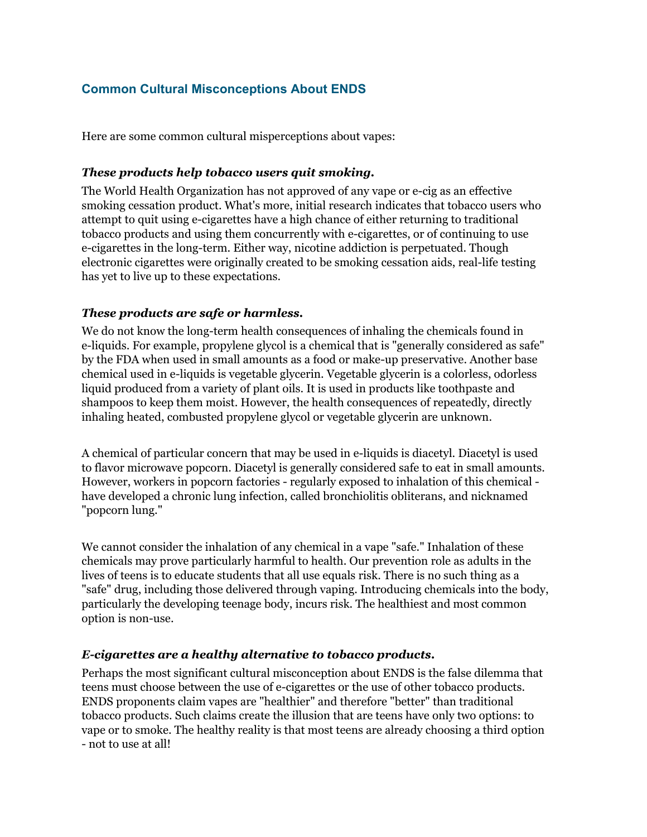# **Common Cultural Misconceptions About ENDS**

Here are some common cultural misperceptions about vapes:

### *These products help tobacco users quit smoking.*

The World Health Organization has not approved of any vape or e-cig as an effective smoking cessation product. What's more, initial research indicates that tobacco users who attempt to quit using e-cigarettes have a high chance of either returning to traditional tobacco products and using them concurrently with e-cigarettes, or of continuing to use e-cigarettes in the long-term. Either way, nicotine addiction is perpetuated. Though electronic cigarettes were originally created to be smoking cessation aids, real-life testing has yet to live up to these expectations.

### *These products are safe or harmless.*

We do not know the long-term health consequences of inhaling the chemicals found in e-liquids. For example, propylene glycol is a chemical that is "generally considered as safe" by the FDA when used in small amounts as a food or make-up preservative. Another base chemical used in e-liquids is vegetable glycerin. Vegetable glycerin is a colorless, odorless liquid produced from a variety of plant oils. It is used in products like toothpaste and shampoos to keep them moist. However, the health consequences of repeatedly, directly inhaling heated, combusted propylene glycol or vegetable glycerin are unknown.

A chemical of particular concern that may be used in e-liquids is diacetyl. Diacetyl is used to flavor microwave popcorn. Diacetyl is generally considered safe to eat in small amounts. However, workers in popcorn factories - regularly exposed to inhalation of this chemical have developed a chronic lung infection, called bronchiolitis obliterans, and nicknamed "popcorn lung."

We cannot consider the inhalation of any chemical in a vape "safe." Inhalation of these chemicals may prove particularly harmful to health. Our prevention role as adults in the lives of teens is to educate students that all use equals risk. There is no such thing as a "safe" drug, including those delivered through vaping. Introducing chemicals into the body, particularly the developing teenage body, incurs risk. The healthiest and most common option is non-use.

## *E-cigarettes are a healthy alternative to tobacco products.*

Perhaps the most significant cultural misconception about ENDS is the false dilemma that teens must choose between the use of e-cigarettes or the use of other tobacco products. ENDS proponents claim vapes are "healthier" and therefore "better" than traditional tobacco products. Such claims create the illusion that are teens have only two options: to vape or to smoke. The healthy reality is that most teens are already choosing a third option - not to use at all!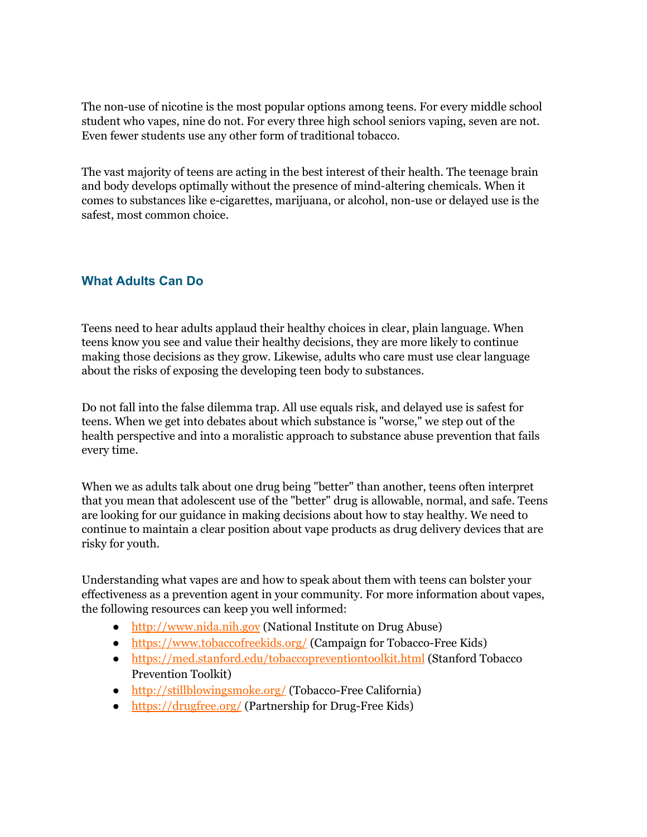The non-use of nicotine is the most popular options among teens. For every middle school student who vapes, nine do not. For every three high school seniors vaping, seven are not. Even fewer students use any other form of traditional tobacco.

The vast majority of teens are acting in the best interest of their health. The teenage brain and body develops optimally without the presence of mind-altering chemicals. When it comes to substances like e-cigarettes, marijuana, or alcohol, non-use or delayed use is the safest, most common choice.

# **What Adults Can Do**

Teens need to hear adults applaud their healthy choices in clear, plain language. When teens know you see and value their healthy decisions, they are more likely to continue making those decisions as they grow. Likewise, adults who care must use clear language about the risks of exposing the developing teen body to substances.

Do not fall into the false dilemma trap. All use equals risk, and delayed use is safest for teens. When we get into debates about which substance is "worse," we step out of the health perspective and into a moralistic approach to substance abuse prevention that fails every time.

When we as adults talk about one drug being "better" than another, teens often interpret that you mean that adolescent use of the "better" drug is allowable, normal, and safe. Teens are looking for our guidance in making decisions about how to stay healthy. We need to continue to maintain a clear position about vape products as drug delivery devices that are risky for youth.

Understanding what vapes are and how to speak about them with teens can bolster your effectiveness as a prevention agent in your community. For more information about vapes, the following resources can keep you well informed:

- [http://www.nida.nih.gov](http://r20.rs6.net/tn.jsp?f=001RLG8g-uPrZNOSGoEEZqYNvKvGYIvEcBBw-MOpWBK0jvQlkWmsCd2fJkMB2XcYHNElevsUqoVjsnXYzbgtQurNmK02xj_jHs5_FYWmRqoYhtbygkMcs2T8TEVq6rIpegwFhE2-5eR3boZl4zQSt-e15wNom--7a-H2JWCZnO8bdo=&c=G6q2VheFoY3A75SxGiVl2XPNDVlrilvrKO6C4IQ-KLRdEMlq1cessA==&ch=IP4HuD6rMuGqz9d3lJaK_rFEc_KI_HTsBgHzRI4yx2R2mQ5aZ120Zw==) (National Institute on Drug Abuse)
- [https://www.tobaccofreekids.org/](http://r20.rs6.net/tn.jsp?f=001RLG8g-uPrZNOSGoEEZqYNvKvGYIvEcBBw-MOpWBK0jvQlkWmsCd2fJkMB2XcYHNEczCSiKplwzGgt8KLGsmYto_7GeVX3GmetWJ05hQWDKvEjX_CnPToD-rgHe1TcPGjj9tW87ok0k1oNRyhneDNgqVvzbKrlShw1wQrv8A6Tx4XtVYFcU1O4w==&c=G6q2VheFoY3A75SxGiVl2XPNDVlrilvrKO6C4IQ-KLRdEMlq1cessA==&ch=IP4HuD6rMuGqz9d3lJaK_rFEc_KI_HTsBgHzRI4yx2R2mQ5aZ120Zw==) (Campaign for Tobacco-Free Kids)
- [https://med.stanford.edu/tobaccopreventiontoolkit.html](http://r20.rs6.net/tn.jsp?f=001RLG8g-uPrZNOSGoEEZqYNvKvGYIvEcBBw-MOpWBK0jvQlkWmsCd2fAZg4tOuS7SxMS6oDh-wX87P8qJFqwcqQpyoO9B1ZnbZp3nA1fMgDtPvhd86d6Wf8vd2XHR8QGGnOnpDwMsjvXKyz8gw0Xfwi6lrplhqXyBgbqAHa-Iani-rYkYeVbO-MX7tMsznh57WKJWnU-qgaE7RFg7g65xF1w==&c=G6q2VheFoY3A75SxGiVl2XPNDVlrilvrKO6C4IQ-KLRdEMlq1cessA==&ch=IP4HuD6rMuGqz9d3lJaK_rFEc_KI_HTsBgHzRI4yx2R2mQ5aZ120Zw==) (Stanford Tobacco Prevention Toolkit)
- [http://stillblowingsmoke.org/](http://r20.rs6.net/tn.jsp?f=001RLG8g-uPrZNOSGoEEZqYNvKvGYIvEcBBw-MOpWBK0jvQlkWmsCd2fJkMB2XcYHNEUpg9Gn2RG-j7Na-MjoCD2gtXBs2OwJMf0EVkJ1Y7mSlurJl3GulRqyc9O2EdKqlCCtk_6ZVdaFVabShRCMjChN-ASnH96gZInvyN8ESLJ1AUSS_kx7pbqg==&c=G6q2VheFoY3A75SxGiVl2XPNDVlrilvrKO6C4IQ-KLRdEMlq1cessA==&ch=IP4HuD6rMuGqz9d3lJaK_rFEc_KI_HTsBgHzRI4yx2R2mQ5aZ120Zw==) (Tobacco-Free California)
- [https://drugfree.org/](http://r20.rs6.net/tn.jsp?f=001RLG8g-uPrZNOSGoEEZqYNvKvGYIvEcBBw-MOpWBK0jvQlkWmsCd2fJkMB2XcYHNE7XFWNUg6Fl3iRYI1fZW2y2vx76HiqZ5q6wt_ZUax5HWU5Z9IqsGADO08mN-Z3JYUgAfIExI1znmIEzQhd_B3QBmbQqwX8PFN7QtZEMAlWrw=&c=G6q2VheFoY3A75SxGiVl2XPNDVlrilvrKO6C4IQ-KLRdEMlq1cessA==&ch=IP4HuD6rMuGqz9d3lJaK_rFEc_KI_HTsBgHzRI4yx2R2mQ5aZ120Zw==) (Partnership for Drug-Free Kids)